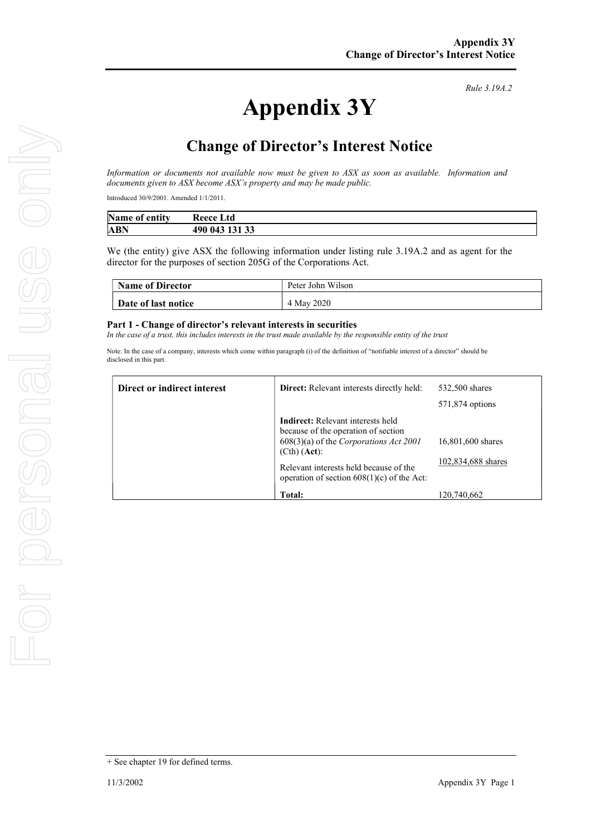# Appendix 3Y

Rule 3.19A.2

# Change of Director's Interest Notice

Information or documents not available now must be given to ASX as soon as available. Information and documents given to ASX become ASX's property and may be made public.

Introduced 30/9/2001. Amended 1/1/2011.

| Name of entity | <b>Reece Ltd</b>        |
|----------------|-------------------------|
| <b>ABN</b>     | 190 043 131 33<br>490 - |

We (the entity) give ASX the following information under listing rule 3.19A.2 and as agent for the director for the purposes of section 205G of the Corporations Act.

| Name of Director    | Peter John Wilson |
|---------------------|-------------------|
| Date of last notice | 4 May 2020        |

#### Part 1 - Change of director's relevant interests in securities

In the case of a trust, this includes interests in the trust made available by the responsible entity of the trust

Note: In the case of a company, interests which come within paragraph (i) of the definition of "notifiable interest of a director" should be disclosed in this part.

| Direct or indirect interest | <b>Direct:</b> Relevant interests directly held:                                                                                                                                                                                        | 532,500 shares                          |
|-----------------------------|-----------------------------------------------------------------------------------------------------------------------------------------------------------------------------------------------------------------------------------------|-----------------------------------------|
|                             |                                                                                                                                                                                                                                         | 571,874 options                         |
|                             | <b>Indirect:</b> Relevant interests held<br>because of the operation of section<br>608(3)(a) of the Corporations Act 2001<br>$(Cth)$ $(Act):$<br>Relevant interests held because of the<br>operation of section $608(1)(c)$ of the Act: | 16,801,600 shares<br>102,834,688 shares |
|                             | Total:                                                                                                                                                                                                                                  | 120,740,662                             |

<sup>+</sup> See chapter 19 for defined terms.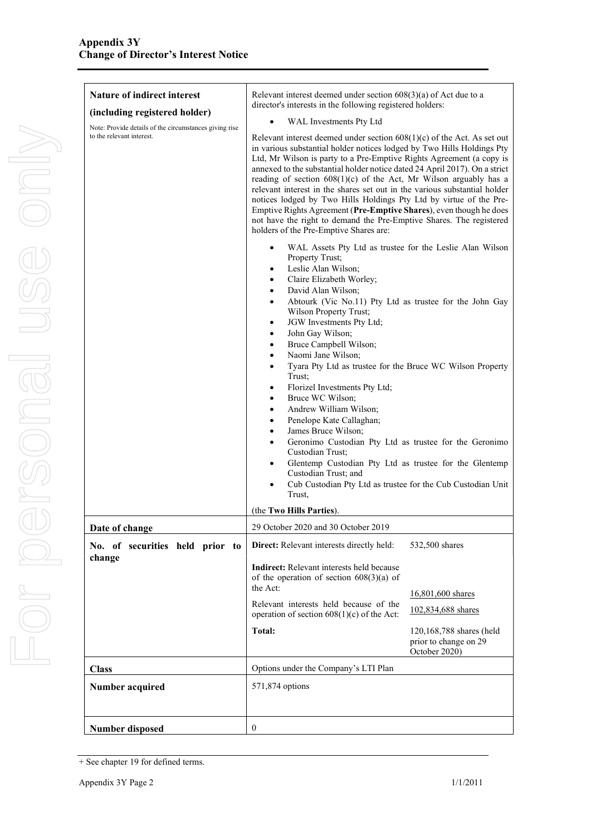| Nature of indirect interest<br>Relevant interest deemed under section $608(3)(a)$ of Act due to a<br>director's interests in the following registered holders:<br>(including registered holder)<br>WAL Investments Pty Ltd<br>Note: Provide details of the circumstances giving rise<br>to the relevant interest.<br>Relevant interest deemed under section $608(1)(c)$ of the Act. As set out<br>in various substantial holder notices lodged by Two Hills Holdings Pty                                                                                                                                                                                                                                                                                                                                                                                                                                                                                                                                                                                                                                                                                                                                                                                                                                                                                                                                                                                                                  |                 |  |
|-------------------------------------------------------------------------------------------------------------------------------------------------------------------------------------------------------------------------------------------------------------------------------------------------------------------------------------------------------------------------------------------------------------------------------------------------------------------------------------------------------------------------------------------------------------------------------------------------------------------------------------------------------------------------------------------------------------------------------------------------------------------------------------------------------------------------------------------------------------------------------------------------------------------------------------------------------------------------------------------------------------------------------------------------------------------------------------------------------------------------------------------------------------------------------------------------------------------------------------------------------------------------------------------------------------------------------------------------------------------------------------------------------------------------------------------------------------------------------------------|-----------------|--|
| Ltd, Mr Wilson is party to a Pre-Emptive Rights Agreement (a copy is<br>annexed to the substantial holder notice dated 24 April 2017). On a strict<br>reading of section $608(1)(c)$ of the Act, Mr Wilson arguably has a<br>relevant interest in the shares set out in the various substantial holder<br>notices lodged by Two Hills Holdings Pty Ltd by virtue of the Pre-<br>Emptive Rights Agreement (Pre-Emptive Shares), even though he does<br>not have the right to demand the Pre-Emptive Shares. The registered<br>holders of the Pre-Emptive Shares are:<br>WAL Assets Pty Ltd as trustee for the Leslie Alan Wilson<br>Property Trust;<br>Leslie Alan Wilson;<br>٠<br>Claire Elizabeth Worley;<br>$\bullet$<br>David Alan Wilson;<br>$\bullet$<br>Abtourk (Vic No.11) Pty Ltd as trustee for the John Gay<br>$\bullet$<br>Wilson Property Trust;<br>JGW Investments Pty Ltd;<br>٠<br>John Gay Wilson;<br>$\bullet$<br>Bruce Campbell Wilson;<br>$\bullet$<br>Naomi Jane Wilson;<br>$\bullet$<br>Tyara Pty Ltd as trustee for the Bruce WC Wilson Property<br>$\bullet$<br>Trust;<br>Florizel Investments Pty Ltd;<br>$\bullet$<br>Bruce WC Wilson;<br>$\bullet$<br>Andrew William Wilson;<br>$\bullet$<br>Penelope Kate Callaghan;<br>$\bullet$<br>James Bruce Wilson;<br>$\bullet$<br>Geronimo Custodian Pty Ltd as trustee for the Geronimo<br>$\bullet$<br>Custodian Trust;<br>Glentemp Custodian Pty Ltd as trustee for the Glentemp<br>$\bullet$<br>Custodian Trust; and |                 |  |
| Cub Custodian Pty Ltd as trustee for the Cub Custodian Unit                                                                                                                                                                                                                                                                                                                                                                                                                                                                                                                                                                                                                                                                                                                                                                                                                                                                                                                                                                                                                                                                                                                                                                                                                                                                                                                                                                                                                               |                 |  |
| Trust,<br>(the Two Hills Parties).                                                                                                                                                                                                                                                                                                                                                                                                                                                                                                                                                                                                                                                                                                                                                                                                                                                                                                                                                                                                                                                                                                                                                                                                                                                                                                                                                                                                                                                        |                 |  |
| 29 October 2020 and 30 October 2019                                                                                                                                                                                                                                                                                                                                                                                                                                                                                                                                                                                                                                                                                                                                                                                                                                                                                                                                                                                                                                                                                                                                                                                                                                                                                                                                                                                                                                                       |                 |  |
| Date of change<br>Direct: Relevant interests directly held:<br>532,500 shares                                                                                                                                                                                                                                                                                                                                                                                                                                                                                                                                                                                                                                                                                                                                                                                                                                                                                                                                                                                                                                                                                                                                                                                                                                                                                                                                                                                                             |                 |  |
| No. of securities held prior to<br>change<br><b>Indirect:</b> Relevant interests held because<br>of the operation of section $608(3)(a)$ of<br>the Act:<br>16,801,600 shares<br>Relevant interests held because of the<br>102,834,688 shares<br>operation of section $608(1)(c)$ of the Act:<br>Total:<br>120,168,788 shares (held<br>prior to change on 29<br>October 2020)                                                                                                                                                                                                                                                                                                                                                                                                                                                                                                                                                                                                                                                                                                                                                                                                                                                                                                                                                                                                                                                                                                              |                 |  |
| Options under the Company's LTI Plan<br><b>Class</b>                                                                                                                                                                                                                                                                                                                                                                                                                                                                                                                                                                                                                                                                                                                                                                                                                                                                                                                                                                                                                                                                                                                                                                                                                                                                                                                                                                                                                                      |                 |  |
|                                                                                                                                                                                                                                                                                                                                                                                                                                                                                                                                                                                                                                                                                                                                                                                                                                                                                                                                                                                                                                                                                                                                                                                                                                                                                                                                                                                                                                                                                           | 571,874 options |  |
| <b>Number acquired</b>                                                                                                                                                                                                                                                                                                                                                                                                                                                                                                                                                                                                                                                                                                                                                                                                                                                                                                                                                                                                                                                                                                                                                                                                                                                                                                                                                                                                                                                                    |                 |  |

<sup>+</sup> See chapter 19 for defined terms.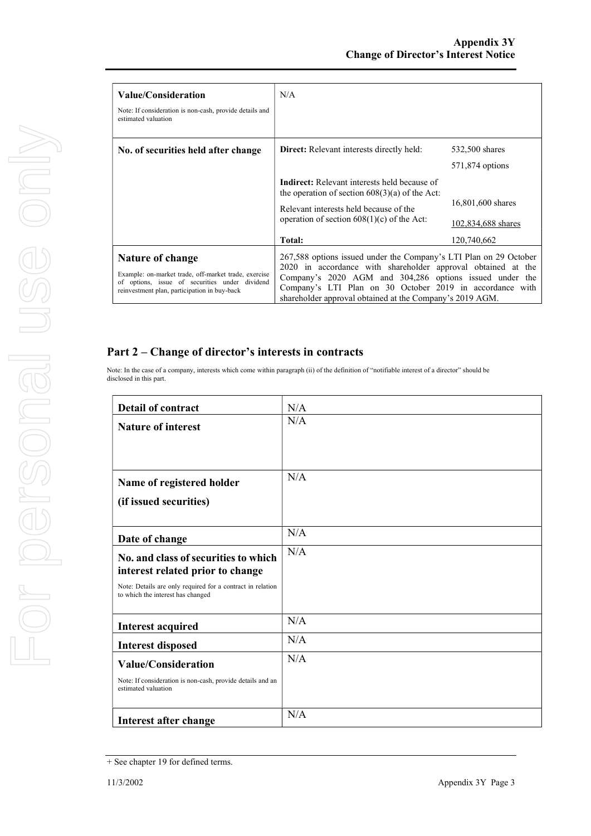| Value/Consideration<br>Note: If consideration is non-cash, provide details and<br>estimated valuation                                                                      | N/A                                                                                                                                                                                                                                                                                                                  |                                                        |
|----------------------------------------------------------------------------------------------------------------------------------------------------------------------------|----------------------------------------------------------------------------------------------------------------------------------------------------------------------------------------------------------------------------------------------------------------------------------------------------------------------|--------------------------------------------------------|
| No. of securities held after change                                                                                                                                        | <b>Direct:</b> Relevant interests directly held:                                                                                                                                                                                                                                                                     | 532,500 shares<br>571,874 options                      |
|                                                                                                                                                                            | <b>Indirect:</b> Relevant interests held because of<br>the operation of section $608(3)(a)$ of the Act:<br>Relevant interests held because of the<br>operation of section $608(1)(c)$ of the Act:<br>Total:                                                                                                          | 16,801,600 shares<br>102,834,688 shares<br>120,740,662 |
| Nature of change<br>Example: on-market trade, off-market trade, exercise<br>of options, issue of securities under dividend<br>reinvestment plan, participation in buy-back | 267,588 options issued under the Company's LTI Plan on 29 October<br>2020 in accordance with shareholder approval obtained at the<br>Company's 2020 AGM and 304,286 options issued under the<br>Company's LTI Plan on 30 October 2019 in accordance with<br>shareholder approval obtained at the Company's 2019 AGM. |                                                        |

### Part 2 – Change of director's interests in contracts

Note: In the case of a company, interests which come within paragraph (ii) of the definition of "notifiable interest of a director" should be disclosed in this part.

| <b>Detail of contract</b>                                                                       | N/A |
|-------------------------------------------------------------------------------------------------|-----|
| <b>Nature of interest</b>                                                                       | N/A |
|                                                                                                 |     |
| Name of registered holder                                                                       | N/A |
| (if issued securities)                                                                          |     |
| Date of change                                                                                  | N/A |
| No. and class of securities to which                                                            | N/A |
| interest related prior to change                                                                |     |
| Note: Details are only required for a contract in relation<br>to which the interest has changed |     |
| <b>Interest acquired</b>                                                                        | N/A |
| <b>Interest disposed</b>                                                                        | N/A |
| <b>Value/Consideration</b>                                                                      | N/A |
| Note: If consideration is non-cash, provide details and an<br>estimated valuation               |     |
| Interest after change                                                                           | N/A |

<sup>+</sup> See chapter 19 for defined terms.